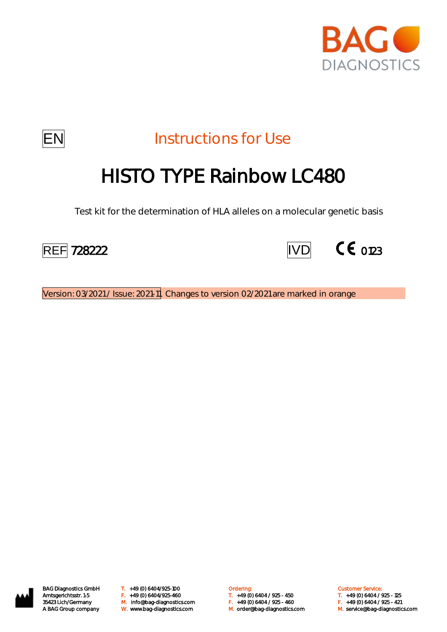



**EN** Instructions for Use

# HISTO TYPE Rainbow LC480

Test kit for the determination of HLA alleles on a molecular genetic basis





Version: 03/2021 / Issue: 2021-11 Changes to version 02/2021 are marked in orange



BAG Diagnostics GmbH T. +49 (0) 6404/925-100 **Cambridge Condering:** Customer Service: Customer Service: M. orderlang-1339 Amtsgerichtsstr. 1-5 (1992) F. (1992) F. (1994/925-460 F. (1994) F. (1994) 6404 / 925 - 125 (1994) F. (19<br>35423 Lich/Germany M. info@bag-diagnostics.com F. (1994) F. (1997) F. (1997) F. (1997) 6404 / 925 - 421<br>A BAG G W. www.bag-diagnostics.com M. order@bag-diagnostics.com M. service@bag-diagnostics.com

Amtsgerichtsstr. 1-5 F. +49 (0) 6404/925-460 T. +49 (0) 6404 / 925 - 450 T. +49 (0) 6404 / 925 - 125

- 
- 
-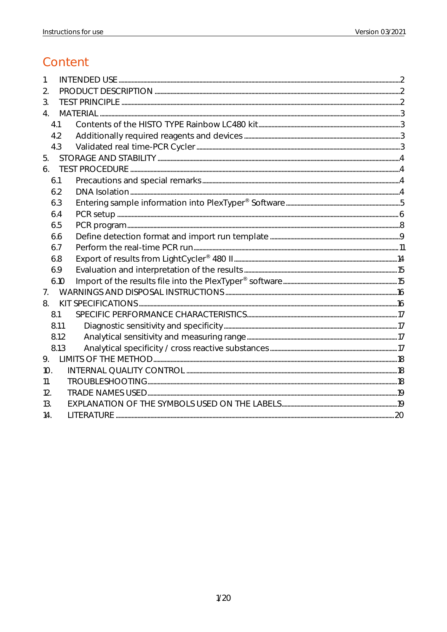# Content

| 2.               |  |
|------------------|--|
| 3.               |  |
| $\overline{4}$ . |  |
| 4.1              |  |
| 4.2              |  |
| 4.3              |  |
| 5.               |  |
| 6.               |  |
| 6.1              |  |
| 6.2              |  |
| 6.3              |  |
| 6.4              |  |
| 6.5              |  |
| 6.6              |  |
| 6.7              |  |
| 6.8              |  |
| 6.9              |  |
| 6.10             |  |
| 7 <sub>1</sub>   |  |
| 8.               |  |
| 8.1              |  |
| 8.1.1            |  |
| 8.1.2            |  |
| 8.1.3            |  |
| 9.               |  |
| 10.              |  |
| 11.              |  |
| 12.              |  |
| 13.              |  |
| 14.              |  |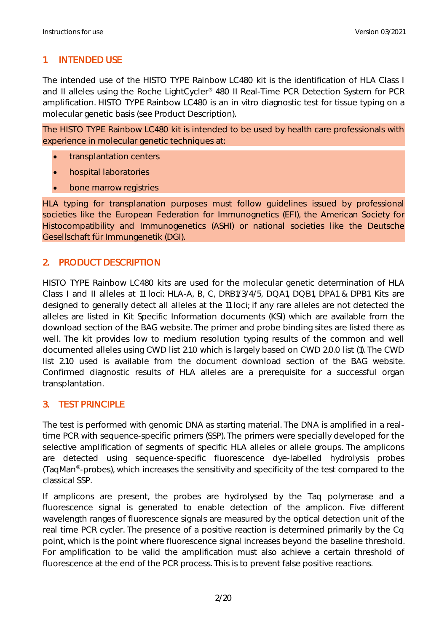# <span id="page-2-0"></span>1. INTENDED USE

The intended use of the HISTO TYPE Rainbow LC480 kit is the identification of HLA Class I and II alleles using the Roche LightCycler® 480 II Real-Time PCR Detection System for PCR amplification. HISTO TYPE Rainbow LC480 is an in vitro diagnostic test for tissue typing on a molecular genetic basis (see Product Description).

The HISTO TYPE Rainbow LC480 kit is intended to be used by health care professionals with experience in molecular genetic techniques at:

- transplantation centers
- hospital laboratories
- bone marrow registries

HLA typing for transplanation purposes must follow guidelines issued by professional societies like the European Federation for Immunognetics (EFI), the American Society for Histocompatibility and Immunogenetics (ASHI) or national societies like the Deutsche Gesellschaft für Immungenetik (DGI).

#### <span id="page-2-1"></span>2. PRODUCT DESCRIPTION

HISTO TYPE Rainbow LC480 kits are used for the molecular genetic determination of HLA Class I and II alleles at 11 loci: HLA-A, B, C, DRB1/3/4/5, DQA1, DQB1, DPA1 & DPB1. Kits are designed to generally detect all alleles at the 11 loci; if any rare alleles are not detected the alleles are listed in Kit Specific Information documents (KSI) which are available from the download section of the BAG website. The primer and probe binding sites are listed there as well. The kit provides low to medium resolution typing results of the common and well documented alleles using CWD list 2.1.0 which is largely based on CWD 2.0.0 list (1). The CWD list 2.1.0 used is available from the document download section of the BAG website. Confirmed diagnostic results of HLA alleles are a prerequisite for a successful organ transplantation.

#### <span id="page-2-2"></span>3. TEST PRINCIPLE

The test is performed with genomic DNA as starting material. The DNA is amplified in a realtime PCR with sequence-specific primers (SSP). The primers were specially developed for the selective amplification of segments of specific HLA alleles or allele groups. The amplicons are detected using sequence-specific fluorescence dye-labelled hydrolysis probes (TaqMan® -probes), which increases the sensitivity and specificity of the test compared to the classical SSP.

If amplicons are present, the probes are hydrolysed by the Taq polymerase and a fluorescence signal is generated to enable detection of the amplicon. Five different wavelength ranges of fluorescence signals are measured by the optical detection unit of the real time PCR cycler. The presence of a positive reaction is determined primarily by the Cq point, which is the point where fluorescence signal increases beyond the baseline threshold. For amplification to be valid the amplification must also achieve a certain threshold of fluorescence at the end of the PCR process. This is to prevent false positive reactions.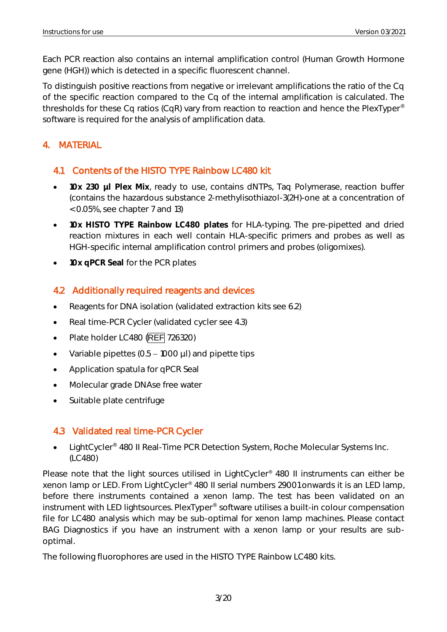Each PCR reaction also contains an internal amplification control (Human Growth Hormone gene (HGH)) which is detected in a specific fluorescent channel.

To distinguish positive reactions from negative or irrelevant amplifications the ratio of the Cq of the specific reaction compared to the Cq of the internal amplification is calculated. The thresholds for these Cq ratios (CqR) vary from reaction to reaction and hence the PlexTyper® software is required for the analysis of amplification data.

# <span id="page-3-0"></span>4. MATERIAL

# <span id="page-3-1"></span>4.1 Contents of the HISTO TYPE Rainbow LC480 kit

- **10x 230 µl Plex Mix**, ready to use, contains dNTPs, Taq Polymerase, reaction buffer (contains the hazardous substance 2-methylisothiazol-3(2H)-one at a concentration of < 0.05%, see chapter 7 and 13)
- **10x HISTO TYPE Rainbow LC480 plates** for HLA-typing. The pre-pipetted and dried reaction mixtures in each well contain HLA-specific primers and probes as well as HGH-specific internal amplification control primers and probes (oligomixes).
- **10x qPCR Seal** for the PCR plates

# <span id="page-3-2"></span>4.2 Additionally required reagents and devices

- Reagents for DNA isolation (validated extraction kits see 6.2)
- Real time-PCR Cycler (validated cycler see 4.3)
- Plate holder LC480 (REF 726320)
- Variable pipettes  $(0.5 1000 \mu l)$  and pipette tips
- Application spatula for qPCR Seal
- Molecular grade DNAse free water
- Suitable plate centrifuge

# <span id="page-3-3"></span>4.3 Validated real time-PCR Cycler

• LightCycler<sup>®</sup> 480 II Real-Time PCR Detection System, Roche Molecular Systems Inc. (LC480)

Please note that the light sources utilised in LightCycler<sup>®</sup> 480 II instruments can either be xenon lamp or LED. From LightCycler® 480 II serial numbers 29001 onwards it is an LED lamp, before there instruments contained a xenon lamp. The test has been validated on an instrument with LED lightsources. PlexTyper® software utilises a built-in colour compensation file for LC480 analysis which may be sub-optimal for xenon lamp machines. Please contact BAG Diagnostics if you have an instrument with a xenon lamp or your results are suboptimal.

The following fluorophores are used in the HISTO TYPE Rainbow LC480 kits.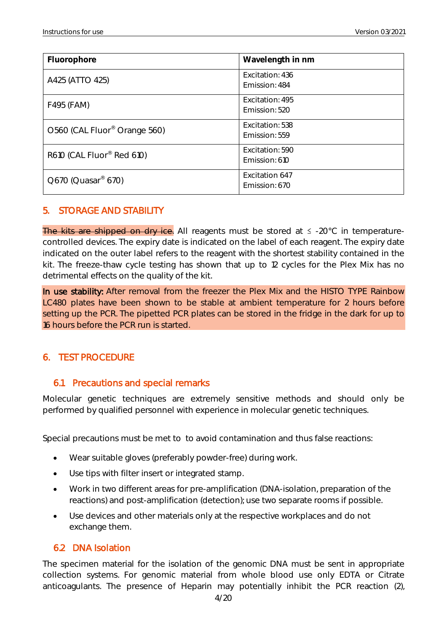| Fluorophore                              | Wavelength in nm                 |
|------------------------------------------|----------------------------------|
| A425 (ATTO 425)                          | Excitation: 436<br>Emission: 484 |
| F495 (FAM)                               | Excitation: 495<br>Emission: 520 |
| O560 (CAL Fluor <sup>®</sup> Orange 560) | Excitation: 538<br>Emission: 559 |
| R610 (CAL Fluor® Red 610)                | Excitation: 590<br>Emission: 610 |
| $Q670$ (Quasar <sup>®</sup> 670)         | Excitation 647<br>Emission: 670  |

#### <span id="page-4-0"></span>5. STORAGE AND STABILITY

The kits are shipped on dry ice. All reagents must be stored at  $\leq$  -20°C in temperaturecontrolled devices. The expiry date is indicated on the label of each reagent. The expiry date indicated on the outer label refers to the reagent with the shortest stability contained in the kit. The freeze-thaw cycle testing has shown that up to 12 cycles for the Plex Mix has no detrimental effects on the quality of the kit.

In use stability: After removal from the freezer the Plex Mix and the HISTO TYPE Rainbow LC480 plates have been shown to be stable at ambient temperature for 2 hours before setting up the PCR. The pipetted PCR plates can be stored in the fridge in the dark for up to 16 hours before the PCR run is started.

#### <span id="page-4-1"></span>6. TEST PROCEDURE

#### <span id="page-4-2"></span>6.1 Precautions and special remarks

Molecular genetic techniques are extremely sensitive methods and should only be performed by qualified personnel with experience in molecular genetic techniques.

Special precautions must be met to to avoid contamination and thus false reactions:

- Wear suitable gloves (preferably powder-free) during work.
- Use tips with filter insert or integrated stamp.
- Work in two different areas for pre-amplification (DNA-isolation, preparation of the reactions) and post-amplification (detection); use two separate rooms if possible.
- Use devices and other materials only at the respective workplaces and do not exchange them.

#### <span id="page-4-3"></span>6.2 DNA Isolation

The specimen material for the isolation of the genomic DNA must be sent in appropriate collection systems. For genomic material from whole blood use only EDTA or Citrate anticoagulants. The presence of Heparin may potentially inhibit the PCR reaction (2),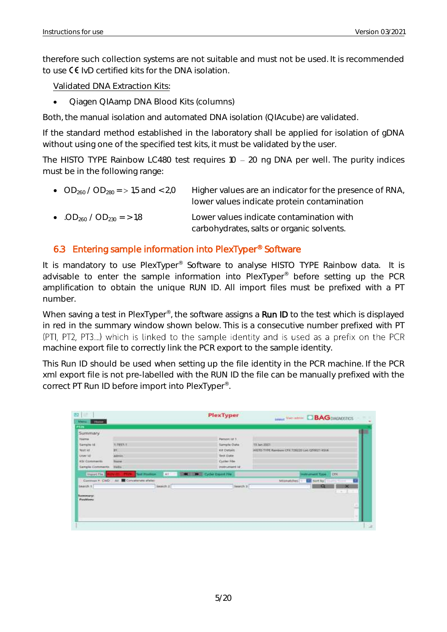therefore such collection systems are not suitable and must not be used. It is recommended to use  $\mathsf C \mathsf {\mathsf F}$  IvD certified kits for the DNA isolation.

Validated DNA Extraction Kits:

• Qiagen QIAamp DNA Blood Kits (columns)

Both, the manual isolation and automated DNA isolation (QIAcube) are validated.

If the standard method established in the laboratory shall be applied for isolation of gDNA without using one of the specified test kits, it must be validated by the user.

The HISTO TYPE Rainbow LC480 test requires  $10 - 20$  ng DNA per well. The purity indices must be in the following range:

| • $OD_{260}/OD_{280}$ = > 1,5 and < 2,0          | Higher values are an indicator for the presence of RNA,<br>lower values indicate protein contamination |
|--------------------------------------------------|--------------------------------------------------------------------------------------------------------|
| • .OD <sub>260</sub> / OD <sub>230</sub> = > 1.8 | Lower values indicate contamination with<br>carbohydrates, salts or organic solvents.                  |

#### <span id="page-5-0"></span>6.3 Entering sample information into PlexTyper® Software

It is mandatory to use PlexTyper<sup>®</sup> Software to analyse HISTO TYPE Rainbow data. It is advisable to enter the sample information into PlexTyper® before setting up the PCR amplification to obtain the unique RUN ID. All import files must be prefixed with a PT number.

When saving a test in PlexTyper<sup>®</sup>, the software assigns a Run ID to the test which is displayed in red in the summary window shown below. This is a consecutive number prefixed with PT (PTI, PT2, PT3....) which is linked to the sample identity and is used as a prefix on the PCR machine export file to correctly link the PCR export to the sample identity.

This Run ID should be used when setting up the file identity in the PCR machine. If the PCR xml export file is not pre-labelled with the RUN ID the file can be manually prefixed with the correct PT Run ID before import into PlexTyper® .

<span id="page-5-1"></span>

| 图                                          |                                                | PlexTyper                     | <b>Lessar View antion DBAG DIAGNOSTICS</b>      |
|--------------------------------------------|------------------------------------------------|-------------------------------|-------------------------------------------------|
| Metro.<br>-Flores                          |                                                |                               |                                                 |
| <u>PEJN</u>                                |                                                |                               |                                                 |
| Summary                                    |                                                |                               |                                                 |
| <b>Name</b>                                |                                                | <b>Parson ld 1</b>            |                                                 |
| Sample (d)                                 | <b>WITEST-T</b>                                | Sample Date                   | T3 Jan 2021                                     |
| <b>TESTAS</b>                              | <b>HH</b>                                      | Kit Details                   | HISTO TYPE Rainbow CFR 728220 Line C/T0021 RS14 |
| <b><i>LAUNTEET</i></b>                     | <b>Advise</b>                                  | Test Date                     |                                                 |
| <b>KSI Comments</b>                        | <b>STARTING</b><br>Tisme.                      | Cycler F&e                    |                                                 |
| Sample Comments                            | Help.                                          | instrument id:                |                                                 |
| <b>Import File</b>                         | 41<br><b>Test Platform</b><br>÷.               | <b>M. I Cycler Cross Fire</b> | <b>ICEX</b><br>milmanwert Type                  |
|                                            | Converse v. CWD : Art III Concetenate identity |                               | sort by District<br>Militablites.               |
| Bearch 9                                   | Search 21                                      | Newcch 3                      | Q<br>×                                          |
| <b>CONTRACTOR</b>                          |                                                |                               |                                                 |
| <b><i><u>Summerst</u></i></b><br>Positives |                                                |                               |                                                 |
|                                            |                                                |                               |                                                 |
|                                            |                                                |                               | s                                               |
|                                            |                                                |                               | ٠                                               |
|                                            |                                                |                               |                                                 |
|                                            |                                                |                               |                                                 |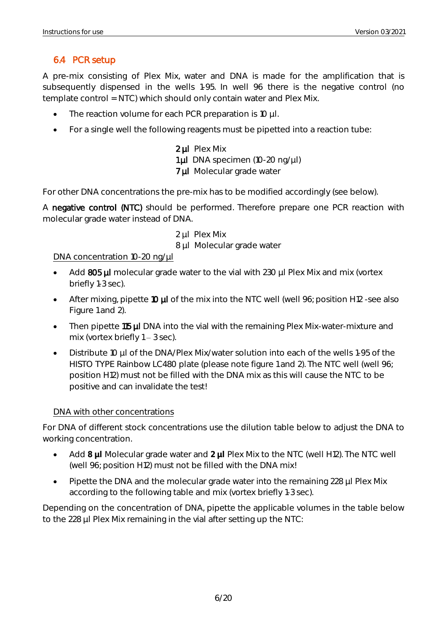# 6.4 PCR setup

A pre-mix consisting of Plex Mix, water and DNA is made for the amplification that is subsequently dispensed in the wells 1-95. In well 96 there is the negative control (no template control = NTC) which should only contain water and Plex Mix.

- The reaction volume for each PCR preparation is 10 µl.
- For a single well the following reagents must be pipetted into a reaction tube:

2 µl Plex Mix 1 µl DNA specimen (10-20 ng/µl) 7 µl Molecular grade water

For other DNA concentrations the pre-mix has to be modified accordingly (see below).

A negative control (NTC) should be performed. Therefore prepare one PCR reaction with molecular grade water instead of DNA.

2 ul Plex Mix

8 µl Molecular grade water

#### DNA concentration 10-20 ng/µl

- Add 805 µl molecular grade water to the vial with 230 µl Plex Mix and mix (vortex briefly 1-3 sec).
- After mixing, pipette 10  $\mu$  of the mix into the NTC well (well 96; position H12 -see also Figure 1 and 2).
- Then pipette 115 µl DNA into the vial with the remaining Plex Mix-water-mixture and mix (vortex briefly  $1 - 3$  sec).
- Distribute 10 µl of the DNA/Plex Mix/water solution into each of the wells 1-95 of the HISTO TYPE Rainbow LC480 plate (please note figure 1 and 2). The NTC well (well 96; position H12) must not be filled with the DNA mix as this will cause the NTC to be positive and can invalidate the test!

#### DNA with other concentrations

For DNA of different stock concentrations use the dilution table below to adjust the DNA to working concentration.

- Add **8 µl** Molecular grade water and **2 µl** Plex Mix to the NTC (well H12). The NTC well (well 96; position H12) must not be filled with the DNA mix!
- Pipette the DNA and the molecular grade water into the remaining 228 µl Plex Mix according to the following table and mix (vortex briefly 1-3 sec).

Depending on the concentration of DNA, pipette the applicable volumes in the table below to the 228 µl Plex Mix remaining in the vial after setting up the NTC: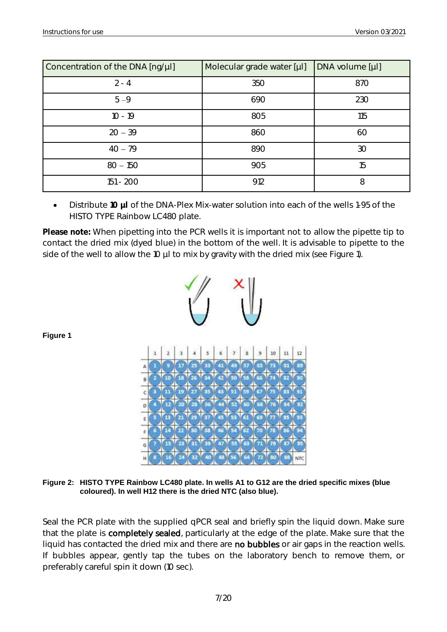| Concentration of the DNA [ng/µl] | Molecular grade water [µl] | DNA volume [µl] |
|----------------------------------|----------------------------|-----------------|
| $2 - 4$                          | 350                        | 870             |
| $5 - 9$                          | 690                        | 230             |
| $10 - 19$                        | 805                        | 115             |
| $20 - 39$                        | 860                        | 60              |
| $40 - 79$                        | 890                        | 30              |
| $80 - 150$                       | 905                        | 15              |
| 151 - 200                        | 912                        | 8               |

• Distribute **10 µl** of the DNA-Plex Mix-water solution into each of the wells 1-95 of the HISTO TYPE Rainbow LC480 plate.

**Please note:** When pipetting into the PCR wells it is important not to allow the pipette tip to contact the dried mix (dyed blue) in the bottom of the well. It is advisable to pipette to the side of the well to allow the 10 µl to mix by gravity with the dried mix (see Figure 1).



**Figure 2: HISTO TYPE Rainbow LC480 plate. In wells A1 to G12 are the dried specific mixes (blue coloured). In well H12 there is the dried NTC (also blue).**

Seal the PCR plate with the supplied qPCR seal and briefly spin the liquid down. Make sure that the plate is completely sealed, particularly at the edge of the plate. Make sure that the liquid has contacted the dried mix and there are no bubbles or air gaps in the reaction wells. If bubbles appear, gently tap the tubes on the laboratory bench to remove them, or preferably careful spin it down (10 sec).

**Figure 1**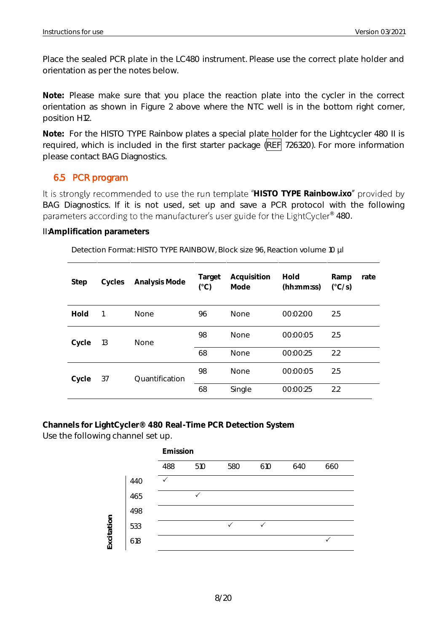Place the sealed PCR plate in the LC480 instrument. Please use the correct plate holder and orientation as per the notes below.

**Note:** Please make sure that you place the reaction plate into the cycler in the correct orientation as shown in Figure 2 above where the NTC well is in the bottom right corner, position H12.

**Note:** For the HISTO TYPE Rainbow plates a special plate holder for the Lightcycler 480 II is required, which is included in the first starter package (REF 726320). For more information please contact BAG Diagnostics.

#### <span id="page-8-0"></span>6.5 PCR program

It is strongly recommended to use the run template "HISTO TYPE Rainbow.ixo" provided by BAG Diagnostics. If it is not used, set up and save a PCR protocol with the following  $\cdot^{\circ}$  480.

II:**Amplification parameters**

| Detection Format: HISTO TYPE RAINBOW, Block size 96, Reaction volume 10 µl |  |  |  |
|----------------------------------------------------------------------------|--|--|--|
|                                                                            |  |  |  |

| Step  | Cycles | Analysis Mode  | Target<br>$(^{\circ}C)$ | Acquisition<br>Mode | Hold<br>(hh:mm:ss) | Ramp<br>$(^{\circ}C/S)$ | rate |
|-------|--------|----------------|-------------------------|---------------------|--------------------|-------------------------|------|
| Hold  |        | <b>None</b>    | 96                      | <b>None</b>         | 00:02:00           | 2.5                     |      |
| Cycle | 13     | None           | 98                      | <b>None</b>         | 00:00:05           | 2.5                     |      |
|       |        |                | 68                      | <b>None</b>         | 00:00:25           | 2.2                     |      |
| Cycle | 37     | Ouantification | 98                      | <b>None</b>         | 00:00:05           | 2.5                     |      |
|       |        |                | 68                      | Single              | 00:00:25           | 2.2                     |      |

**Channels for LightCycler® 480 Real-Time PCR Detection System** Use the following channel set up.

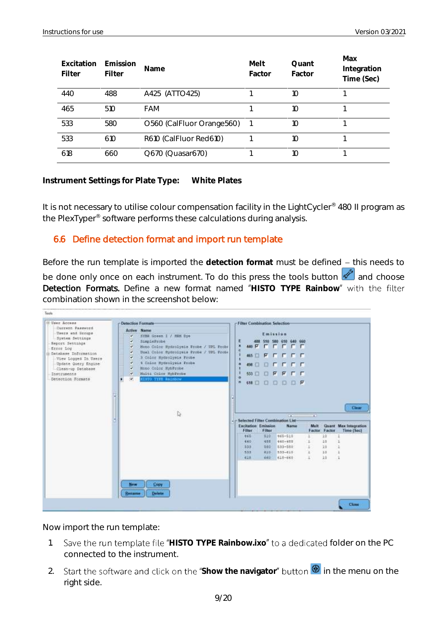| Excitation<br>Filter | Emission<br>Filter | Name                      | Melt<br>Factor | Ouant<br>Factor | Max<br>Integration<br>Time (Sec) |
|----------------------|--------------------|---------------------------|----------------|-----------------|----------------------------------|
| 44 <sub>O</sub>      | 488                | A425 (ATTO425)            |                | 10              |                                  |
| 465                  | 510                | FAM                       |                | 10              |                                  |
| 533                  | 580                | O560 (CalFluor Orange560) |                | 10              |                                  |
| 533                  | 610                | R610 (CalFluor Red610)    |                | 10              |                                  |
| 618                  | 660                | Q670 (Quasar670)          |                | 10              |                                  |

**Instrument Settings for Plate Type: White Plates**

It is not necessary to utilise colour compensation facility in the LightCycler<sup>®</sup> 480 II program as the PlexTyper® software performs these calculations during analysis.

#### <span id="page-9-0"></span>6.6 Define detection format and import run template

Before the run template is imported the detection format must be defined - this needs to be done only once on each instrument. To do this press the tools button  $\mathbb Z$  and choose **Detection Formats.** Define a new format named "HISTO TYPE Rainbow" with the filter combination shown in the screenshot below:



Now import the run template:

- 1. Save the run template file "HISTO TYPE Rainbow.ixo" to a dedicated folder on the PC connected to the instrument.
- 2. Start the software and click on the "Show the navigator" button <sup>1</sup> in the menu on the right side.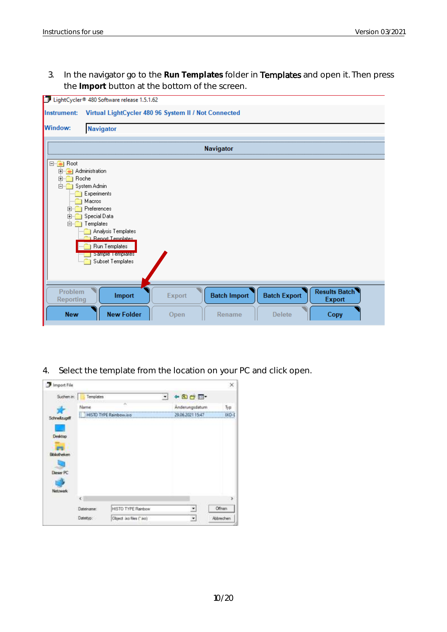3. In the navigator go to the **Run Templates** folder in Templates and open it. Then press the **Import** button at the bottom of the screen.

|                                                                                                                 | LightCycler® 480 Software release 1.5.1.62                                                                                                                                                               |                |                               |                                      |                                       |
|-----------------------------------------------------------------------------------------------------------------|----------------------------------------------------------------------------------------------------------------------------------------------------------------------------------------------------------|----------------|-------------------------------|--------------------------------------|---------------------------------------|
| Instrument:                                                                                                     | Virtual LightCycler 480 96 System II / Not Connected                                                                                                                                                     |                |                               |                                      |                                       |
| <b>Window:</b>                                                                                                  | <b>Navigator</b>                                                                                                                                                                                         |                |                               |                                      |                                       |
|                                                                                                                 |                                                                                                                                                                                                          |                |                               |                                      |                                       |
|                                                                                                                 |                                                                                                                                                                                                          |                | <b>Navigator</b>              |                                      |                                       |
| ⊟ <sup></sup> as Root<br>由 -- Administration<br><b>Roche</b><br>$\mathbf{F}$<br>F-<br>$\mathbf{F}$<br>田…<br>Ė-í | System Admin<br>Experiments<br>Macros<br>Preferences<br>Special Data<br>Templates<br><b>Analysis Templates</b><br><b>Benot Templates</b><br><b>Run Templates</b><br>Sample Lemplates<br>Subset Templates |                |                               |                                      |                                       |
| Problem<br>Reporting<br><b>New</b>                                                                              | Import<br><b>New Folder</b>                                                                                                                                                                              | Export<br>Open | <b>Batch Import</b><br>Rename | <b>Batch Export</b><br><b>Delete</b> | <b>Results Batch</b><br><b>Export</b> |
|                                                                                                                 |                                                                                                                                                                                                          |                |                               |                                      | Copy                                  |

4. Select the template from the location on your PC and click open.

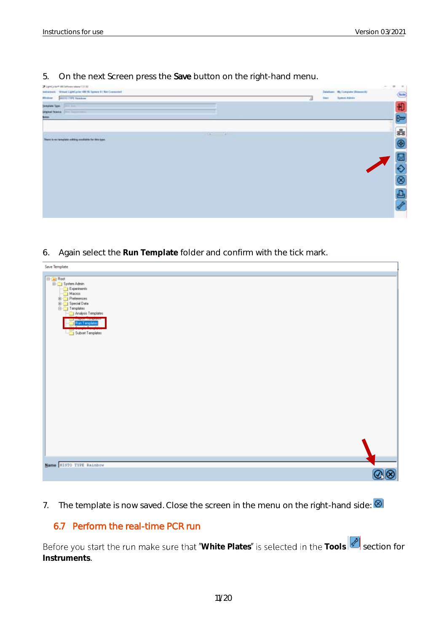5. On the next Screen press the Save button on the right-hand menu.

| at LightCorier® 800 Defference Interest 0.01 AU<br>between Weart Light you lift N Towns 5   No Comment<br><b>SEETIS TWY Sundam</b><br><b>Mindson</b> | J. | <b>Steel</b> | Detailson: My Computer (Research)<br>Symptonians: | Ξ | $\sim$<br>G    |
|------------------------------------------------------------------------------------------------------------------------------------------------------|----|--------------|---------------------------------------------------|---|----------------|
| Digital function and the commer-<br><b>System</b>                                                                                                    |    |              |                                                   |   | 印<br>⊵         |
| Carry Carry Carry<br>here is no template edding mediate for hits (pps)<br>and the community of the community of                                      |    |              |                                                   |   | <b>82 22 0</b> |
|                                                                                                                                                      |    |              |                                                   |   |                |
|                                                                                                                                                      |    |              |                                                   |   |                |
|                                                                                                                                                      |    |              |                                                   |   |                |

6. Again select the **Run Template** folder and confirm with the tick mark.

| Save Template                              |      |
|--------------------------------------------|------|
|                                            |      |
| <b>E-G</b> Root<br><b>E-G</b> System Admin |      |
|                                            |      |
| Experinertz<br>Macros                      |      |
|                                            |      |
| <b>E</b> Preferences<br>E C Special Data   |      |
| Templates                                  |      |
| Analysis Templates                         |      |
| <b>United Textilents</b>                   |      |
| <b>Run Templates</b>                       |      |
|                                            |      |
| Subset Templates                           |      |
|                                            |      |
|                                            |      |
|                                            |      |
|                                            |      |
|                                            |      |
|                                            |      |
|                                            |      |
|                                            |      |
|                                            |      |
|                                            |      |
|                                            |      |
|                                            |      |
|                                            |      |
|                                            |      |
|                                            |      |
|                                            |      |
|                                            |      |
|                                            |      |
|                                            |      |
|                                            |      |
|                                            |      |
|                                            |      |
| Mame HISTO TYPE Rainbow                    |      |
|                                            |      |
|                                            | Q(8) |

7. The template is now saved. Close the screen in the menu on the right-hand side:  $\circledR$ 

#### <span id="page-11-0"></span>6.7 Perform the real-time PCR run

Before you start the run make sure that "White Plates" is selected in the Tools section for **Instruments**.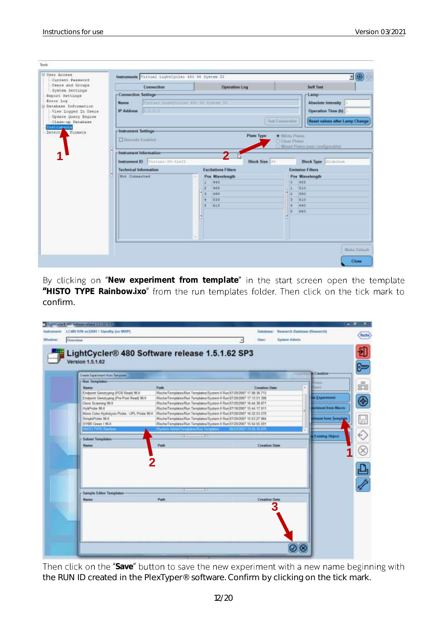| Users and Groups                                 | Connection                        |                                    | Operation Log     | <b>Self Test</b>               |
|--------------------------------------------------|-----------------------------------|------------------------------------|-------------------|--------------------------------|
| System Settings<br>Report Settings               | <b>Connection Settings</b>        |                                    |                   | Lamp                           |
| Error Log                                        | Name                              | TITTERE SERROYEEN AND NO System II |                   | <b>Absolute Intensity</b>      |
| il Database Information.<br>View Louged In Users | IP Address (1999)                 |                                    |                   | Operation Time (h)             |
| Update Query Engine                              |                                   |                                    |                   |                                |
| Clean-up Database                                |                                   |                                    | Tash Chronochial  | Reset values after Lamp Change |
| <b>Institute nts</b><br>Formats                  | <b>Instrument Settings</b>        |                                    |                   |                                |
| Detect,                                          |                                   |                                    | <b>Plate Type</b> | <b>IS William Planters</b>     |
|                                                  | El Barroda Enablud                |                                    |                   | <b>U Clear Pintes</b>          |
|                                                  |                                   |                                    |                   | Mood Plates time configurable) |
|                                                  |                                   |                                    |                   |                                |
|                                                  | Instrument leformation-           |                                    |                   |                                |
|                                                  |                                   |                                    |                   |                                |
|                                                  | Instrument ID/ Vachina - M-Syn 21 |                                    | <b>Block Size</b> | <b>Block Type Allenance</b>    |
|                                                  | <b>Technical Information</b>      | <b>Excitations Filters</b>         |                   | <b>Emission Filters</b>        |
|                                                  | <b>Hot Connected</b>              | Pos Wavelength                     |                   | Pos Wavelength                 |
|                                                  |                                   | 440                                |                   | 488<br>ĸ                       |
|                                                  |                                   | 465                                |                   | 610<br>œ                       |
|                                                  |                                   | 490                                |                   | 1 z<br>seo                     |
|                                                  |                                   | 553                                |                   | 410                            |
|                                                  |                                   | <b>E16</b>                         |                   | 640<br>×<br>H.                 |
|                                                  |                                   |                                    |                   | 660                            |
|                                                  |                                   |                                    |                   |                                |
|                                                  |                                   |                                    |                   |                                |
|                                                  |                                   |                                    |                   |                                |
|                                                  |                                   |                                    |                   |                                |

By clicking on "New experiment from template" in the start screen open the template "HISTO TYPE Rainbow.ixo" from the run templates folder. Then click on the tick mark to confirm.

|        | 1 Low War E 490 Surface Information 12                             |                                                                                                                                             |                         |                      |                              |                           | - 10         |
|--------|--------------------------------------------------------------------|---------------------------------------------------------------------------------------------------------------------------------------------|-------------------------|----------------------|------------------------------|---------------------------|--------------|
|        | Instrument: LC400 IE96 xn32041 / Standby (no MWP)                  |                                                                                                                                             |                         | Database:            | Research Database (Research) |                           | <b>Soche</b> |
| Window | Owenstew                                                           |                                                                                                                                             |                         | <b>User:</b>         | <b>Sydney Admin</b>          |                           |              |
|        | LightCycler® 480 Software release 1.5.1.62 SP3<br>Version 1.5.1.62 |                                                                                                                                             |                         |                      |                              |                           |              |
|        | Create Experiment Rom Template                                     |                                                                                                                                             |                         |                      |                              | <b>M</b> Creation-        |              |
|        | -Ron Templates-                                                    |                                                                                                                                             |                         |                      |                              |                           |              |
|        | <b>Name</b>                                                        | Path                                                                                                                                        |                         | <b>Creation Date</b> | i.                           |                           | ś            |
|        | Endpoint Genutyping (PCR Read) 96-8                                | Roche/Templates/Run Templates/System II Run(87/20/2027 17:08:36.713)                                                                        |                         |                      |                              |                           |              |
|        | Endport Genstyping (Pre-Post Read) 96-8<br>Gene Scanning 96-8      | Roche/Templates Run Templates/System II Run 07/20/2007 17:13:51:398<br>Roche/Templates/Run Templates/System ft Run(07/20/2007 16:44:36 871) |                         |                      |                              | <b>W Experiment</b>       | $\bigcirc$   |
|        | HybProbe 36-E                                                      | Roche/Templates/Run Templates/Bystem II Run 07/18/2007 15:44:17.911                                                                         |                         |                      |                              | <b>Brittent bom Macro</b> |              |
|        | Moro Color Hydrolysis Probe - UPI, Probe 96 E.                     | :Rische/Templates/Run Templates/System II Run:07/20/2007 16:32:53.576                                                                       |                         |                      |                              |                           |              |
|        | SimileProbe 96-8                                                   | Roche/Templates-Run Templates/System II Run 87/20/2007 15:53:27 964                                                                         |                         |                      |                              | dmant from Tamptine       | 닖            |
|        | SYER Given   964<br><b>HID TWEE Base</b>                           | RochwTemptates Run Temptates/System II Run 67/20/2007 15:54:55:391<br>Sustain Adventure consultant Temperan                                 | <b>REPART 1156 IS C</b> |                      |                              |                           |              |
|        |                                                                    |                                                                                                                                             |                         |                      |                              | <b>Existing Object</b>    |              |
|        | - Subset Templates-                                                |                                                                                                                                             |                         |                      |                              |                           |              |
|        | <b>Name</b>                                                        | Path                                                                                                                                        |                         | <b>Creation Date</b> |                              |                           |              |
|        |                                                                    |                                                                                                                                             |                         |                      |                              |                           |              |
|        |                                                                    |                                                                                                                                             |                         |                      |                              |                           |              |
|        |                                                                    |                                                                                                                                             |                         |                      |                              |                           |              |
|        |                                                                    |                                                                                                                                             |                         |                      |                              |                           |              |
|        |                                                                    |                                                                                                                                             |                         |                      |                              |                           |              |
|        |                                                                    | <b>SAN</b><br>w                                                                                                                             |                         |                      |                              |                           |              |
|        | Sample Editor Templates                                            | <b>Path</b>                                                                                                                                 |                         | <b>Creation Date</b> |                              |                           |              |
|        | <b>Martin</b>                                                      |                                                                                                                                             |                         |                      |                              |                           |              |
|        |                                                                    |                                                                                                                                             |                         |                      |                              |                           |              |
|        |                                                                    |                                                                                                                                             |                         |                      |                              |                           |              |
|        |                                                                    |                                                                                                                                             |                         |                      |                              |                           |              |
|        |                                                                    |                                                                                                                                             |                         |                      |                              |                           |              |
|        |                                                                    |                                                                                                                                             |                         |                      |                              |                           |              |
|        |                                                                    |                                                                                                                                             |                         |                      |                              |                           |              |
|        |                                                                    |                                                                                                                                             |                         |                      |                              |                           |              |
|        |                                                                    |                                                                                                                                             |                         |                      |                              |                           |              |

Then click on the "Save" button to save the new experiment with a new name beginning with the RUN ID created in the PlexTyper® software. Confirm by clicking on the tick mark.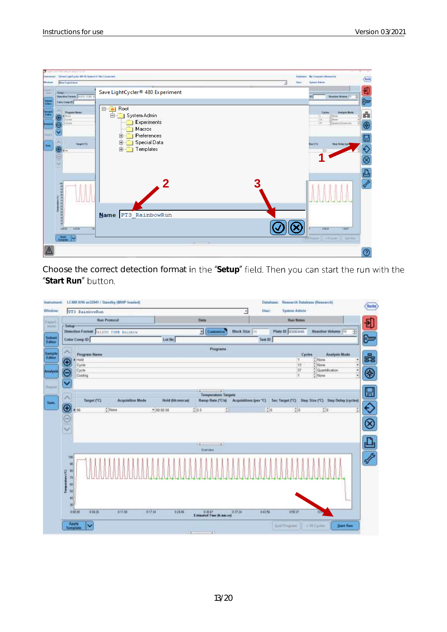| <b><i><u>Industrial</u></i></b><br>Wolker | (1.49) indicate state (1.1.1)<br>Virtual Lightly (as \$50.00 Append it   Not Liemented<br><b>New Experiment</b>                |                                                                                                                                                |   | <b>Station</b><br><b>Sank</b> | My Company (Beautiful)<br><b>Tyroni Adams</b>                                                                                           | G                                      |
|-------------------------------------------|--------------------------------------------------------------------------------------------------------------------------------|------------------------------------------------------------------------------------------------------------------------------------------------|---|-------------------------------|-----------------------------------------------------------------------------------------------------------------------------------------|----------------------------------------|
| 1448<br>-                                 | Sebur<br>Determed Perman Shilling cover.                                                                                       | Save LightCycler® 480 Experiment                                                                                                               |   |                               | <b>Lamia Brank</b>                                                                                                                      | 田野                                     |
|                                           | <b>Deter Comp 13</b><br><b>Pregnant Baltim</b><br><b>Kings</b><br>٥<br>Colder<br>Grite<br>0<br><b>Timelit CEL</b><br>⊛. –<br>Θ | ⊟ <sup></sup> <sub>■</sub> Root<br>$\Box$<br>System Admin<br>Experiments<br>Macros<br>Preferences<br>由<br>Special Data<br>田<br>Templates<br>田… |   |                               | <b>Bowlynia Mode</b><br><b>Castro</b><br>(miss)<br>ш<br>Illinia<br>143<br>īπ<br>TOAMHERHAKEN<br><b>Wan CTA</b><br><b>Thry Delin Dan</b> | å<br>$\overline{\odot}$<br>⊟<br>♦<br>Ø |
|                                           | 113456666<br>미도일정보<br><b>STERN</b><br>3.0133<br>m<br>المتبنة<br>1Y                                                             | 2<br>Name PT3_RainbowRun                                                                                                                       | 3 |                               | 518.25<br>10011<br><b>Smith</b>                                                                                                         | 凸夕                                     |
|                                           |                                                                                                                                |                                                                                                                                                |   |                               |                                                                                                                                         | 0                                      |

Choose the correct detection format in the "Setup" field. Then you can start the run with the "Start Run" button.

| <b>UTI RainbowRun</b>            |                                     |                 |                                                             | <b>User:</b><br>$\bullet$             | <b>System Admin</b> |                                    |
|----------------------------------|-------------------------------------|-----------------|-------------------------------------------------------------|---------------------------------------|---------------------|------------------------------------|
|                                  | <b>Run Protocol</b>                 |                 | Data                                                        |                                       | <b>Run Notes</b>    |                                    |
| Senap-                           | Detection Format HISTO TYPE Rainbow |                 | <b>P</b> Costonice                                          | <b>Block Size</b>                     | Plate 10- 03183446  | Reaction Volume 10                 |
| <b>Calar Comp ID</b>             |                                     | Lot No          |                                                             | Test ID                               |                     |                                    |
|                                  |                                     |                 | Programs                                                    |                                       |                     |                                    |
| Program Name<br>+ Hold           |                                     |                 |                                                             |                                       | Cyclos<br>IŦ.       | <b>Analysis Mode</b><br>$2$ Nane   |
| O<br>Cycle                       |                                     |                 |                                                             |                                       | 13                  | C None                             |
| Cycle<br>$\overline{\mathsf{e}}$ |                                     |                 |                                                             |                                       | 37                  | $\frac{1}{2}$ Quattification       |
| Cosking                          |                                     |                 |                                                             |                                       | Ħ.                  | $\frac{a}{a}$ Name                 |
| Y                                |                                     |                 |                                                             |                                       |                     |                                    |
|                                  |                                     |                 | $\rightarrow$<br><b>CALLS</b><br><b>Temperature Targets</b> |                                       |                     |                                    |
| Target (°C)                      | <b>Acquisition Mode</b>             | Bidd (Mimming)  | <b>Ramp Rate ('C/v)</b>                                     | Acquisitions (par 'C) 50c Target ('C) |                     | Stop Size (°C) Step Delay (cycles) |
| $\circ$<br>F 96                  | 2116m                               | $* 40.0200$     | 225<br>÷.                                                   |                                       | $-20$<br>$+10$      | 250                                |
|                                  |                                     |                 |                                                             |                                       |                     |                                    |
|                                  |                                     |                 |                                                             |                                       |                     |                                    |
| $\frac{1}{2}$                    |                                     |                 |                                                             |                                       |                     |                                    |
|                                  |                                     |                 |                                                             |                                       |                     |                                    |
|                                  |                                     |                 | 183                                                         |                                       |                     |                                    |
|                                  |                                     |                 | <b>Cleary May</b>                                           |                                       |                     |                                    |
|                                  |                                     |                 |                                                             |                                       |                     |                                    |
| <b>YBS</b>                       |                                     |                 |                                                             |                                       |                     |                                    |
| 同                                |                                     |                 |                                                             |                                       |                     |                                    |
| 群                                |                                     |                 |                                                             |                                       |                     |                                    |
| 70                               |                                     |                 |                                                             |                                       |                     |                                    |
| 新                                |                                     |                 |                                                             |                                       |                     |                                    |
| Tamperstress (T2)<br>51          |                                     |                 |                                                             |                                       |                     |                                    |
| 43                               |                                     |                 |                                                             |                                       |                     |                                    |
| 30                               |                                     |                 |                                                             |                                       |                     |                                    |
| 0:00.00<br>0.05526               | <b>R11.00</b>                       | 037.34<br>92406 | Estanded Time Disnacost                                     | 2.43.56<br>0.37.24                    | 自旋室                 | <b>GM</b>                          |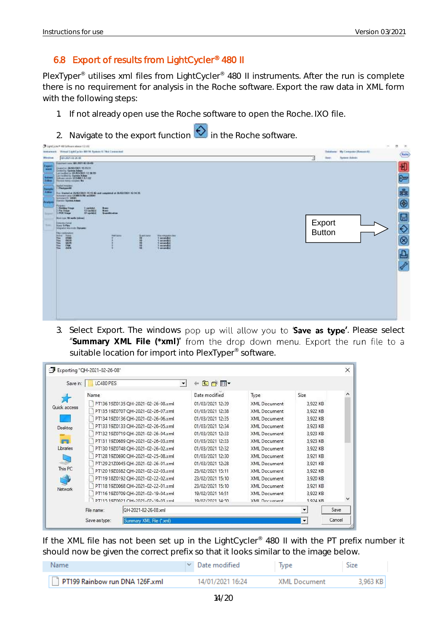# <span id="page-14-0"></span>6.8 Export of results from LightCycler® 480 II

PlexTyper<sup>®</sup> utilises xml files from LightCycler<sup>®</sup> 480 II instruments. After the run is complete there is no requirement for analysis in the Roche software. Export the raw data in XML form with the following steps:

- 1. If not already open use the Roche software to open the Roche. IXO file.
- 2. Navigate to the export function  $\bigotimes$  in the Roche software.

|                                              | U-LightCycler® 468 Schools educat 1,5156                                                                                                                                         |                                              |                               | $\frac{1}{2} \left( \frac{1}{2} \right) \left( \frac{1}{2} \right) \left( \frac{1}{2} \right)$ | n.<br>36                       |
|----------------------------------------------|----------------------------------------------------------------------------------------------------------------------------------------------------------------------------------|----------------------------------------------|-------------------------------|------------------------------------------------------------------------------------------------|--------------------------------|
| Western.                                     | destrainment. Visitual LightEpckin 800 ftl. System (LT/Not Corporated)<br>03.801.0226.08                                                                                         |                                              | <b>User:</b><br>$\mathcal{A}$ | <b>Balakasa: My Computer Photostok)</b><br><b>Rythree Adelesis</b>                             | $\overline{\text{Im } \theta}$ |
| Expert                                       | <b>MARINEZ ANN 48 ANN 1985</b><br>Disastor 26/00/1901 15:15 11                                                                                                                   |                                              |                               |                                                                                                | 刊                              |
| <b>SHEE</b><br>si m<br>سنده<br><b>EVROLE</b> | $\begin{tabular}{ c c c c c c c } \hline & $100000 & $10000 & $10000 \\ \hline & $10000 & $10000 & $10000 \\ \hline & $10000 & $10000 & $10000 \\ \hline \end{tabular}$          |                                              |                               |                                                                                                | $\overline{c}$                 |
| __<br><b>Standards</b>                       | <b>PATERIXT WITHOUT A</b><br>7. Photosophi<br><b>A DAILY AND SAFEKEEP CONSUMERS</b>                                                                                              |                                              |                               |                                                                                                |                                |
| <b>Law</b><br>⋍                              | For the bullet of HANDONEY, 19, 19, 40 and completed or 26,000,000 ( 10, 14, 25, in process cycle ( CBR) fields and the<br>September 10, 520491<br><b>Timester System Friend</b> |                                              |                               |                                                                                                | 롦                              |
| Analysi                                      | <b>Program</b><br>O Helderg Timer<br>Tapmid<br>13 cockiel<br>$\frac{3m}{2m}$<br>Fig. Steak                                                                                       |                                              |                               |                                                                                                | $^{\circledR}$                 |
| <b>Toronto</b>                               | <b>CO's perfect of</b><br><b>FUE Sheet</b><br><b>Taracciones</b><br>Hank tops. Mi swells \$100 m (                                                                               |                                              |                               |                                                                                                |                                |
| <b>September</b>                             | <b>Bineston Social</b><br><b>River G Play</b><br>hing and manuals, Danaesic                                                                                                      |                                              | Export                        |                                                                                                | 000                            |
|                                              | <b>Filip contribution</b><br>Adve Nee<br><b>Field Electric</b><br><b>Bullet Cherry</b><br>OF.                                                                                    | Maximpatriana<br>1 setendbr/<br>1 incomedia) | <b>Button</b>                 |                                                                                                |                                |
|                                              | <b>HASE</b><br><b>2002年</b><br>保護措施                                                                                                                                              | 1 november<br>1 contendità<br>1 millionator  |                               |                                                                                                |                                |
|                                              |                                                                                                                                                                                  | <b>A Contract</b>                            |                               |                                                                                                | 凸                              |
|                                              |                                                                                                                                                                                  |                                              |                               |                                                                                                | d.                             |
|                                              |                                                                                                                                                                                  |                                              |                               |                                                                                                |                                |
|                                              |                                                                                                                                                                                  |                                              |                               |                                                                                                |                                |
|                                              |                                                                                                                                                                                  |                                              |                               |                                                                                                |                                |
|                                              |                                                                                                                                                                                  |                                              |                               |                                                                                                |                                |
|                                              |                                                                                                                                                                                  |                                              |                               |                                                                                                |                                |
|                                              |                                                                                                                                                                                  |                                              |                               |                                                                                                |                                |
|                                              |                                                                                                                                                                                  |                                              |                               |                                                                                                |                                |

3. Select Export. The windows pop up will allow you to **Save as type'**. Please select "Summary XML File (\*xml)" from the drop down menu. Export the run file to a suitable location for import into PlexTyper® software.

| Save in:       | LC480 PES  |                                    | 白び囲              |                     |                          |      |
|----------------|------------|------------------------------------|------------------|---------------------|--------------------------|------|
|                | Name       |                                    | Date modified    | Type                | Size                     |      |
| Quick access   |            | PT136 19Z0135 QH-2021-02-26-08.xml | 01/03/2021 12:39 | XML Document        | 3,922 KB                 |      |
|                |            | PT135 19Z0707 QH-2021-02-26-07.xml | 01/03/2021 12:38 | XML Document        | 3,922 KB                 |      |
|                |            | PT134 19Z0136 OH-2021-02-26-06.xml | 01/03/2021 12:35 | XML Document        | 3,922 KB                 |      |
| Desktop        |            | PT133 19Z0133 OH-2021-02-26-05.xml | 01/03/2021 12:34 | XML Document        | 3,923 KB                 |      |
|                |            | PT132 19Z0719 QH-2021-02-26-04.xml | 01/03/2021 12:33 | XML Document        | 3,923 KB                 |      |
|                |            | PT131 19Z0689 QH-2021-02-26-03.xml | 01/03/2021 12:33 | XML Document        | 3,923 KB                 |      |
| Libraries      |            | PT130 19Z0748 QH-2021-02-26-02.xml | 01/03/2021 12:32 | XML Document        | 3,922 KB                 |      |
|                |            | PT128 19Z0690 OH-2021-02-25-08.xml | 01/03/2021 12:30 | XML Document        | 3.921 KB                 |      |
|                |            | PT129 21Z0045 QH-2021-02-26-01.xml | 01/03/2021 12:28 | XML Document        | 3.921 KB                 |      |
| This PC        |            | PT120 19Z0382 QH-2021-02-22-03.xml | 23/02/2021 15:11 | XML Document        | 3,922 KB                 |      |
|                |            | PT119 18Z0192 OH-2021-02-22-02.xml | 23/02/2021 15:10 | XML Document        | 3,920 KB                 |      |
| <b>Network</b> |            | PT118 19Z0068 QH-2021-02-22-01.xml | 23/02/2021 15:10 | XML Document        | 3,921 KB                 |      |
|                |            | PT116 19Z0709 QH-2021-02-19-04.xml | 19/02/2021 14:51 | <b>XML</b> Document | 3,922 KB                 |      |
|                |            | PT115 1970021 OH-2021-02-19-03 vml | 19/02/2021 14-50 | <b>XMI Document</b> | 3 924 KR                 |      |
|                | File name: | QH-2021-02-26-08 xml               |                  |                     | $\overline{\phantom{a}}$ | Save |

If the XML file has not been set up in the LightCycler<sup>®</sup> 480 II with the PT prefix number it should now be given the correct prefix so that it looks similar to the image below.

| <b>Name</b>                    | $\vee$ Date modified | Type                | Size     |
|--------------------------------|----------------------|---------------------|----------|
| PT199 Rainbow run DNA 126F.xml | 14/01/2021 16:24     | <b>XML Document</b> | 3.963 KB |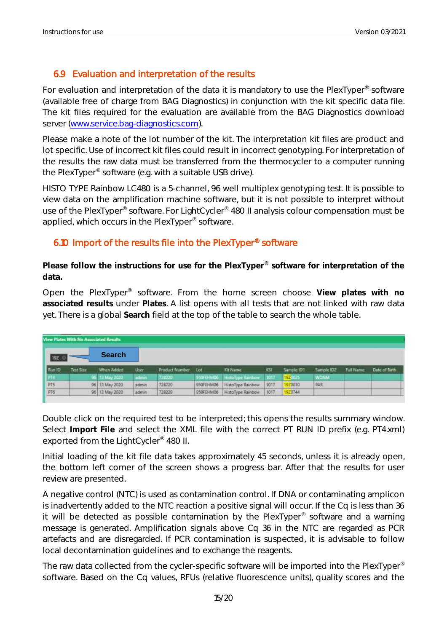# <span id="page-15-0"></span>6.9 Evaluation and interpretation of the results

For evaluation and interpretation of the data it is mandatory to use the PlexTyper<sup>®</sup> software (available free of charge from BAG Diagnostics) in conjunction with the kit specific data file. The kit files required for the evaluation are available from the BAG Diagnostics download server [\(www.service.bag-diagnostics.com\)](http://www.service.bag-diagnostics.com/).

Please make a note of the lot number of the kit. The interpretation kit files are product and lot specific. Use of incorrect kit files could result in incorrect genotyping. For interpretation of the results the raw data must be transferred from the thermocycler to a computer running the PlexTyper® software (e.g. with a suitable USB drive).

HISTO TYPE Rainbow LC480 is a 5-channel, 96 well multiplex genotyping test. It is possible to view data on the amplification machine software, but it is not possible to interpret without use of the PlexTyper® software. For LightCycler® 480 II analysis colour compensation must be applied, which occurs in the PlexTyper<sup>®</sup> software.

#### <span id="page-15-1"></span>6.10 Import of the results file into the PlexTyper® software

**Please follow the instructions for use for the PlexTyper® software for interpretation of the data.**

Open the PlexTyper® software. From the home screen choose **View plates with no associated results** under **Plates**. A list opens with all tests that are not linked with raw data yet. There is a global **Search** field at the top of the table to search the whole table.

|                   | View Plates With No Associated Results |                |             |                |           |                   |            |            |            |                  |               |
|-------------------|----------------------------------------|----------------|-------------|----------------|-----------|-------------------|------------|------------|------------|------------------|---------------|
| 19Z               |                                        | <b>Search</b>  |             |                |           |                   |            |            |            |                  |               |
| Flum ID           | Test Scor                              | When Added     | <b>User</b> | Product Number | Lot       | <b>Kit Name</b>   | <b>KSI</b> | Sample IDT | Sample IDZ | <b>Full Name</b> | Date of Birth |
| 1.714             |                                        | ME 13 May 2020 | admin       | 7212230        | 950FEHM06 | HittoType Rainbow | .1917      | 192003     | WON'M.     |                  |               |
|                   |                                        | 96 13 May 2020 | admin       | 728220         | 950FEHM06 | HistoType Rainbow | 1017       | 920030     | PAR        |                  |               |
| $\frac{PT5}{PT6}$ |                                        | 96 13 May 2020 | admin       | 728220         | 950FEHM06 | HistoType Rainbow | 1017       | 920744     |            |                  |               |

Double click on the required test to be interpreted; this opens the results summary window. Select **Import File** and select the XML file with the correct PT RUN ID prefix (e.g. PT4.xml) exported from the LightCycler® 480 II.

Initial loading of the kit file data takes approximately 45 seconds, unless it is already open, the bottom left corner of the screen shows a progress bar. After that the results for user review are presented.

A negative control (NTC) is used as contamination control. If DNA or contaminating amplicon is inadvertently added to the NTC reaction a positive signal will occur. If the Cq is less than 36 it will be detected as possible contamination by the PlexTyper<sup>®</sup> software and a warning message is generated. Amplification signals above Cq 36 in the NTC are regarded as PCR artefacts and are disregarded. If PCR contamination is suspected, it is advisable to follow local decontamination guidelines and to exchange the reagents.

The raw data collected from the cycler-specific software will be imported into the PlexTyper® software. Based on the Cq values, RFUs (relative fluorescence units), quality scores and the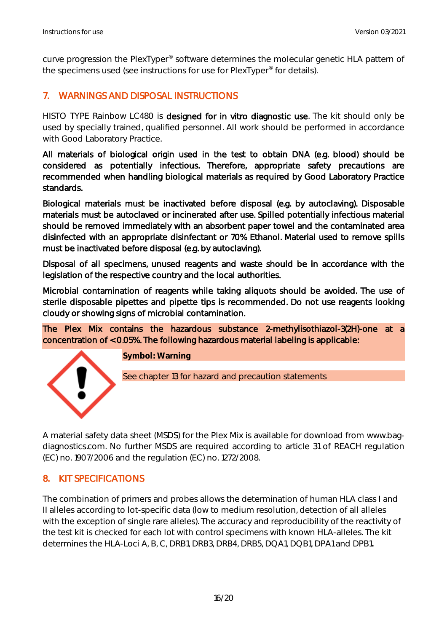curve progression the PlexTyper® software determines the molecular genetic HLA pattern of the specimens used (see instructions for use for PlexTyper<sup>®</sup> for details).

# <span id="page-16-0"></span>7. WARNINGS AND DISPOSAL INSTRUCTIONS

HISTO TYPE Rainbow LC480 is designed for in vitro diagnostic use. The kit should only be used by specially trained, qualified personnel. All work should be performed in accordance with Good Laboratory Practice.

All materials of biological origin used in the test to obtain DNA (e.g. blood) should be considered as potentially infectious. Therefore, appropriate safety precautions are recommended when handling biological materials as required by Good Laboratory Practice standards.

Biological materials must be inactivated before disposal (e.g. by autoclaving). Disposable materials must be autoclaved or incinerated after use. Spilled potentially infectious material should be removed immediately with an absorbent paper towel and the contaminated area disinfected with an appropriate disinfectant or 70% Ethanol. Material used to remove spills must be inactivated before disposal (e.g. by autoclaving).

Disposal of all specimens, unused reagents and waste should be in accordance with the legislation of the respective country and the local authorities.

Microbial contamination of reagents while taking aliquots should be avoided. The use of sterile disposable pipettes and pipette tips is recommended. Do not use reagents looking cloudy or showing signs of microbial contamination.

The Plex Mix contains the hazardous substance 2-methylisothiazol-3(2H)-one at a concentration of < 0.05%. The following hazardous material labeling is applicable:



**Symbol: Warning**

See chapter 13 for hazard and precaution statements

A material safety data sheet (MSDS) for the Plex Mix is available for download from [www.bag](http://www.bag-diagnostics.com/)[diagnostics.com.](http://www.bag-diagnostics.com/) No further MSDS are required according to article 31 of REACH regulation (EC) no. 1907/2006 and the regulation (EC) no. 1272/2008.

# <span id="page-16-1"></span>8. KIT SPECIFICATIONS

<span id="page-16-2"></span>The combination of primers and probes allows the determination of human HLA class I and II alleles according to lot-specific data (low to medium resolution, detection of all alleles with the exception of single rare alleles). The accuracy and reproducibility of the reactivity of the test kit is checked for each lot with control specimens with known HLA-alleles. The kit determines the HLA-Loci A, B, C, DRB1, DRB3, DRB4, DRB5, DQA1, DQB1, DPA1 and DPB1**.**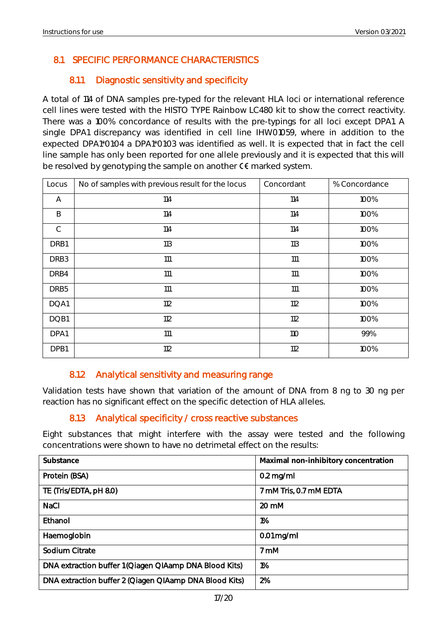# 8.1 SPECIFIC PERFORMANCE CHARACTERISTICS

#### 8.1.1 Diagnostic sensitivity and specificity

<span id="page-17-0"></span>A total of 114 of DNA samples pre-typed for the relevant HLA loci or international reference cell lines were tested with the HISTO TYPE Rainbow LC480 kit to show the correct reactivity. There was a 100% concordance of results with the pre-typings for all loci except DPA1. A single DPA1 discrepancy was identified in cell line IHW01059, where in addition to the expected DPA1\*01:04 a DPA1\*01:03 was identified as well. It is expected that in fact the cell line sample has only been reported for one allele previously and it is expected that this will be resolved by genotyping the sample on another  $\mathsf{C}\mathsf{E}$  marked system.

| Locus            | No of samples with previous result for the locus | Concordant | % Concordance |
|------------------|--------------------------------------------------|------------|---------------|
| Α                | 114                                              | 114        | 100%          |
| B                | 114                                              | 114        | 100%          |
| $\mathsf{C}$     | 114                                              | 114        | 100%          |
| DRB1             | 113                                              | 113        | 100%          |
| DRB <sub>3</sub> | 111                                              | 111        | 100%          |
| DRB4             | 111                                              | 111        | 100%          |
| DRB <sub>5</sub> | 111                                              | 111        | 100%          |
| DQA1             | 112                                              | 112        | 100%          |
| DQB1             | 112                                              | 112        | 100%          |
| DPA1             | 111                                              | 110        | 99%           |
| DPB1             | 112                                              | 112        | 100%          |

#### 8.1.2 Analytical sensitivity and measuring range

<span id="page-17-1"></span>Validation tests have shown that variation of the amount of DNA from 8 ng to 30 ng per reaction has no significant effect on the specific detection of HLA alleles.

#### 8.1.3 Analytical specificity / cross reactive substances

<span id="page-17-2"></span>Eight substances that might interfere with the assay were tested and the following concentrations were shown to have no detrimetal effect on the results:

| Substance                                              | Maximal non-inhibitory concentration |
|--------------------------------------------------------|--------------------------------------|
| Protein (BSA)                                          | $0.2$ mg/ml                          |
| TE (Tris/EDTA, pH 8.0)                                 | 7 mM Tris, 0.7 mM EDTA               |
| <b>NaCl</b>                                            | $20 \text{ mM}$                      |
| Ethanol                                                | 1%                                   |
| Haemoglobin                                            | $0.01$ mg/ml                         |
| Sodium Citrate                                         | 7 mM                                 |
| DNA extraction buffer 1 (Qiagen QIAamp DNA Blood Kits) | 1%                                   |
| DNA extraction buffer 2 (Qiagen QIAamp DNA Blood Kits) | 2%                                   |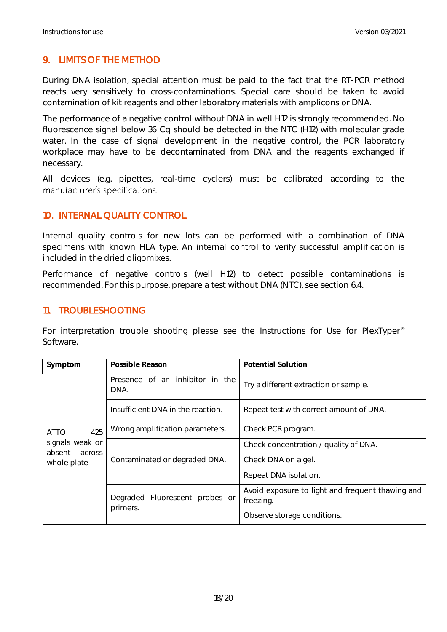#### <span id="page-18-0"></span>9. LIMITS OF THE METHOD

During DNA isolation, special attention must be paid to the fact that the RT-PCR method reacts very sensitively to cross-contaminations. Special care should be taken to avoid contamination of kit reagents and other laboratory materials with amplicons or DNA.

The performance of a negative control without DNA in well H12 is strongly recommended. No fluorescence signal below 36 Cq should be detected in the NTC (H12) with molecular grade water. In the case of signal development in the negative control, the PCR laboratory workplace may have to be decontaminated from DNA and the reagents exchanged if necessary.

All devices (e.g. pipettes, real-time cyclers) must be calibrated according to the manufacturer's specifications.

#### <span id="page-18-1"></span>10. INTERNAL QUALITY CONTROL

Internal quality controls for new lots can be performed with a combination of DNA specimens with known HLA type. An internal control to verify successful amplification is included in the dried oligomixes.

Performance of negative controls (well H12) to detect possible contaminations is recommended. For this purpose, prepare a test without DNA (NTC), see section 6.4.

#### <span id="page-18-2"></span>11. TROUBLESHOOTING

For interpretation trouble shooting please see the Instructions for Use for PlexTyper<sup>®</sup> Software.

| Symptom                             | Possible Reason                         | Potential Solution                                            |
|-------------------------------------|-----------------------------------------|---------------------------------------------------------------|
|                                     | Presence of an inhibitor in the<br>DNA. | Try a different extraction or sample.                         |
|                                     | Insufficient DNA in the reaction.       | Repeat test with correct amount of DNA.                       |
| 425<br><b>ATTO</b>                  | Wrong amplification parameters.         | Check PCR program.                                            |
| signals weak or<br>absent<br>across |                                         | Check concentration / quality of DNA.                         |
| whole plate                         | Contaminated or degraded DNA.           | Check DNA on a gel.                                           |
|                                     |                                         | Repeat DNA isolation.                                         |
|                                     | Degraded Fluorescent probes or          | Avoid exposure to light and frequent thawing and<br>freezing. |
|                                     | primers.                                | Observe storage conditions.                                   |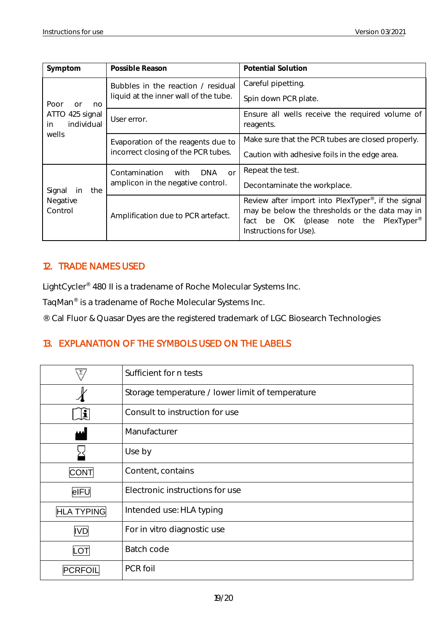| Symptom                             | Possible Reason                                   | Potential Solution                                                                                                                                                                                   |  |  |
|-------------------------------------|---------------------------------------------------|------------------------------------------------------------------------------------------------------------------------------------------------------------------------------------------------------|--|--|
|                                     | Bubbles in the reaction / residual                | Careful pipetting.                                                                                                                                                                                   |  |  |
| Poor<br>no<br>or                    | liquid at the inner wall of the tube.             | Spin down PCR plate.                                                                                                                                                                                 |  |  |
| ATTO 425 signal<br>individual<br>in | User error.                                       | Ensure all wells receive the required volume of<br>reagents.                                                                                                                                         |  |  |
| wells                               | Evaporation of the reagents due to                | Make sure that the PCR tubes are closed properly.                                                                                                                                                    |  |  |
|                                     | incorrect closing of the PCR tubes.               | Caution with adhesive foils in the edge area.                                                                                                                                                        |  |  |
|                                     | Contamination<br><b>DNA</b><br>with<br>$\Omega$ r | Repeat the test.                                                                                                                                                                                     |  |  |
| Signal<br>the<br>in                 | amplicon in the negative control.                 | Decontaminate the workplace.                                                                                                                                                                         |  |  |
| Negative<br>Control                 | Amplification due to PCR artefact.                | Review after import into PlexTyper <sup>®</sup> , if the signal<br>may be below the thresholds or the data may in<br>be OK (please note the PlexTyper <sup>®</sup><br>fact<br>Instructions for Use). |  |  |

#### <span id="page-19-0"></span>12. TRADE NAMES USED

LightCycler® 480 II is a tradename of Roche Molecular Systems Inc.

TaqMan® is a tradename of Roche Molecular Systems Inc.

® Cal Fluor & Quasar Dyes are the registered trademark of LGC Biosearch Technologies

### <span id="page-19-1"></span>13. EXPLANATION OF THE SYMBOLS USED ON THE LABELS

|                   | Sufficient for n tests                           |
|-------------------|--------------------------------------------------|
|                   | Storage temperature / lower limit of temperature |
| $ \mathbf{i} $    | Consult to instruction for use                   |
| لممم              | Manufacturer                                     |
|                   | Use by                                           |
| <b>CONT</b>       | Content, contains                                |
| eIFU              | Electronic instructions for use                  |
| <b>HLA TYPING</b> | Intended use: HLA typing                         |
| <b>IVD</b>        | For in vitro diagnostic use                      |
| LOT               | Batch code                                       |
| PCRFOI            | PCR foil                                         |